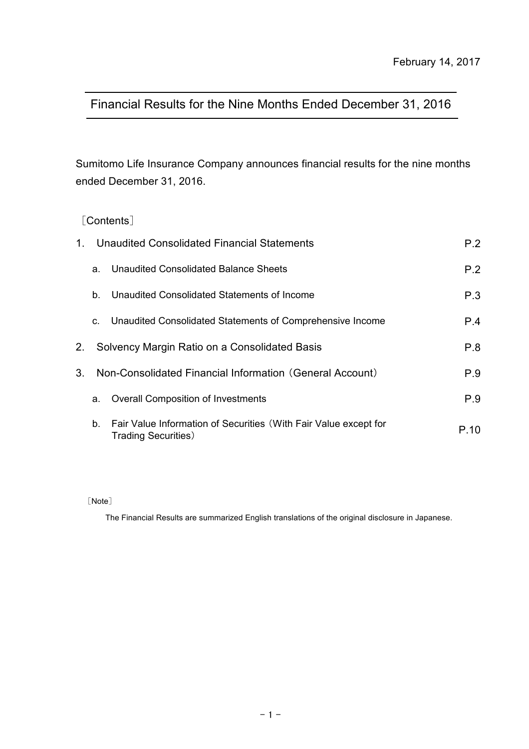# Financial Results for the Nine Months Ended December 31, 2016

Sumitomo Life Insurance Company announces financial results for the nine months ended December 31, 2016.

# [Contents]

| $1_{-}$ | Unaudited Consolidated Financial Statements | P.2                                                                                             |      |
|---------|---------------------------------------------|-------------------------------------------------------------------------------------------------|------|
|         | a.                                          | Unaudited Consolidated Balance Sheets                                                           | P.2  |
|         | b.                                          | Unaudited Consolidated Statements of Income                                                     | P.3  |
|         | C.                                          | Unaudited Consolidated Statements of Comprehensive Income                                       | P.4  |
| 2.      |                                             | Solvency Margin Ratio on a Consolidated Basis                                                   | P.8  |
| $3_{-}$ |                                             | Non-Consolidated Financial Information (General Account)                                        | P.9  |
|         | a.                                          | <b>Overall Composition of Investments</b>                                                       | P.9  |
|         | b.                                          | Fair Value Information of Securities (With Fair Value except for<br><b>Trading Securities</b> ) | P.10 |

[Note]

The Financial Results are summarized English translations of the original disclosure in Japanese.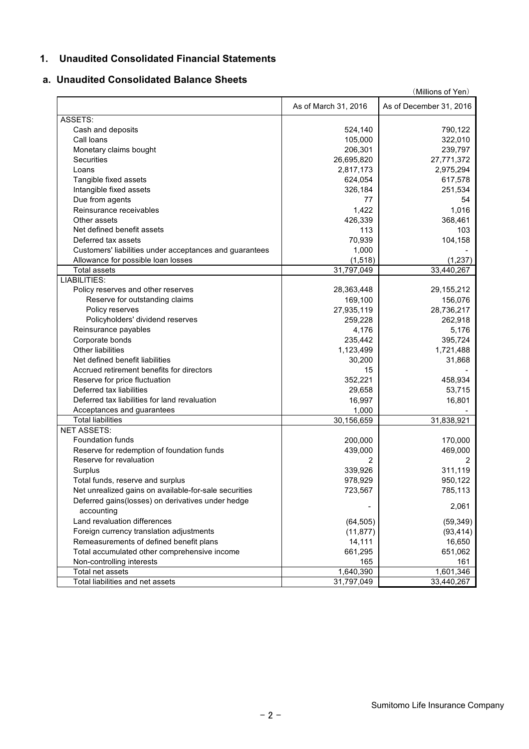## **1. Unaudited Consolidated Financial Statements**

#### **a. Unaudited Consolidated Balance Sheets**

|                                                                 | (Millions of Yen)    |                         |  |  |  |  |
|-----------------------------------------------------------------|----------------------|-------------------------|--|--|--|--|
|                                                                 | As of March 31, 2016 | As of December 31, 2016 |  |  |  |  |
| ASSETS:                                                         |                      |                         |  |  |  |  |
| Cash and deposits                                               | 524,140              | 790,122                 |  |  |  |  |
| Call loans                                                      | 105,000              | 322,010                 |  |  |  |  |
| Monetary claims bought                                          | 206,301              | 239,797                 |  |  |  |  |
| <b>Securities</b>                                               | 26,695,820           | 27,771,372              |  |  |  |  |
| Loans                                                           | 2,817,173            | 2,975,294               |  |  |  |  |
| Tangible fixed assets                                           | 624,054              | 617,578                 |  |  |  |  |
| Intangible fixed assets                                         | 326,184              | 251,534                 |  |  |  |  |
| Due from agents                                                 | 77                   | 54                      |  |  |  |  |
| Reinsurance receivables                                         | 1,422                | 1,016                   |  |  |  |  |
| Other assets                                                    | 426,339              | 368,461                 |  |  |  |  |
| Net defined benefit assets                                      | 113                  | 103                     |  |  |  |  |
| Deferred tax assets                                             | 70,939               | 104,158                 |  |  |  |  |
| Customers' liabilities under acceptances and guarantees         | 1,000                |                         |  |  |  |  |
|                                                                 | (1, 518)             |                         |  |  |  |  |
| Allowance for possible loan losses<br><b>Total assets</b>       | 31,797,049           | (1, 237)<br>33,440,267  |  |  |  |  |
| <b>LIABILITIES:</b>                                             |                      |                         |  |  |  |  |
| Policy reserves and other reserves                              | 28,363,448           | 29, 155, 212            |  |  |  |  |
| Reserve for outstanding claims                                  | 169,100              | 156,076                 |  |  |  |  |
| Policy reserves                                                 |                      | 28,736,217              |  |  |  |  |
|                                                                 | 27,935,119           |                         |  |  |  |  |
| Policyholders' dividend reserves                                | 259,228              | 262,918                 |  |  |  |  |
| Reinsurance payables                                            | 4,176                | 5,176                   |  |  |  |  |
| Corporate bonds                                                 | 235,442              | 395,724                 |  |  |  |  |
| <b>Other liabilities</b>                                        | 1,123,499            | 1,721,488               |  |  |  |  |
| Net defined benefit liabilities                                 | 30,200               | 31,868                  |  |  |  |  |
| Accrued retirement benefits for directors                       | 15                   |                         |  |  |  |  |
| Reserve for price fluctuation                                   | 352,221              | 458,934                 |  |  |  |  |
| Deferred tax liabilities                                        | 29,658               | 53,715                  |  |  |  |  |
| Deferred tax liabilities for land revaluation                   | 16,997               | 16,801                  |  |  |  |  |
| Acceptances and guarantees                                      | 1,000                |                         |  |  |  |  |
| <b>Total liabilities</b>                                        | 30,156,659           | 31,838,921              |  |  |  |  |
| <b>NET ASSETS:</b>                                              |                      |                         |  |  |  |  |
| Foundation funds                                                | 200,000              | 170,000                 |  |  |  |  |
| Reserve for redemption of foundation funds                      | 439,000              | 469,000                 |  |  |  |  |
| Reserve for revaluation                                         | 2                    | 2                       |  |  |  |  |
| Surplus                                                         | 339,926              | 311,119                 |  |  |  |  |
| Total funds, reserve and surplus                                | 978,929              | 950,122                 |  |  |  |  |
| Net unrealized gains on available-for-sale securities           | 723,567              | 785,113                 |  |  |  |  |
| Deferred gains(losses) on derivatives under hedge<br>accounting |                      | 2,061                   |  |  |  |  |
| Land revaluation differences                                    | (64, 505)            | (59, 349)               |  |  |  |  |
| Foreign currency translation adjustments                        | (11, 877)            | (93, 414)               |  |  |  |  |
| Remeasurements of defined benefit plans                         | 14,111               | 16,650                  |  |  |  |  |
| Total accumulated other comprehensive income                    | 661,295              | 651,062                 |  |  |  |  |
| Non-controlling interests                                       | 165                  | 161                     |  |  |  |  |
| Total net assets                                                | 1,640,390            | 1,601,346               |  |  |  |  |
| Total liabilities and net assets                                | 31,797,049           | 33,440,267              |  |  |  |  |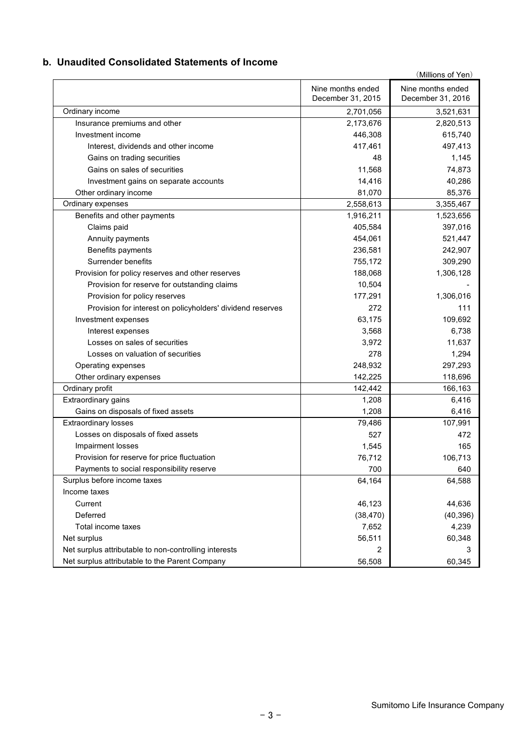## **b. Unaudited Consolidated Statements of Income**

|                                                            |                                        | (Millions of Yen)                      |
|------------------------------------------------------------|----------------------------------------|----------------------------------------|
|                                                            | Nine months ended<br>December 31, 2015 | Nine months ended<br>December 31, 2016 |
| Ordinary income                                            | 2,701,056                              | 3,521,631                              |
| Insurance premiums and other                               | 2,173,676                              | 2,820,513                              |
| Investment income                                          | 446,308                                | 615,740                                |
| Interest, dividends and other income                       | 417,461                                | 497,413                                |
| Gains on trading securities                                | 48                                     | 1,145                                  |
| Gains on sales of securities                               | 11,568                                 | 74,873                                 |
| Investment gains on separate accounts                      | 14,416                                 | 40,286                                 |
| Other ordinary income                                      | 81,070                                 | 85,376                                 |
| Ordinary expenses                                          | 2,558,613                              | 3,355,467                              |
| Benefits and other payments                                | 1,916,211                              | 1,523,656                              |
| Claims paid                                                | 405,584                                | 397,016                                |
| Annuity payments                                           | 454,061                                | 521,447                                |
| Benefits payments                                          | 236,581                                | 242,907                                |
| Surrender benefits                                         | 755,172                                | 309,290                                |
| Provision for policy reserves and other reserves           | 188,068                                | 1,306,128                              |
| Provision for reserve for outstanding claims               | 10,504                                 |                                        |
| Provision for policy reserves                              | 177,291                                | 1,306,016                              |
| Provision for interest on policyholders' dividend reserves | 272                                    | 111                                    |
| Investment expenses                                        | 63,175                                 | 109,692                                |
| Interest expenses                                          | 3,568                                  | 6,738                                  |
| Losses on sales of securities                              | 3,972                                  | 11,637                                 |
| Losses on valuation of securities                          | 278                                    | 1,294                                  |
| Operating expenses                                         | 248,932                                | 297,293                                |
| Other ordinary expenses                                    | 142,225                                | 118,696                                |
| Ordinary profit                                            | 142,442                                | 166,163                                |
| Extraordinary gains                                        | 1,208                                  | 6,416                                  |
| Gains on disposals of fixed assets                         | 1,208                                  | 6,416                                  |
| <b>Extraordinary losses</b>                                | 79,486                                 | 107,991                                |
| Losses on disposals of fixed assets                        | 527                                    | 472                                    |
| Impairment losses                                          | 1,545                                  | 165                                    |
| Provision for reserve for price fluctuation                | 76,712                                 | 106,713                                |
| Payments to social responsibility reserve                  | 700                                    | 640                                    |
| Surplus before income taxes                                | 64,164                                 | 64,588                                 |
| Income taxes                                               |                                        |                                        |
| Current                                                    | 46,123                                 | 44,636                                 |
| Deferred                                                   | (38, 470)                              | (40, 396)                              |
| Total income taxes                                         | 7,652                                  | 4,239                                  |
| Net surplus                                                | 56,511                                 | 60,348                                 |
| Net surplus attributable to non-controlling interests      | 2                                      |                                        |
| Net surplus attributable to the Parent Company             | 56,508                                 | 60,345                                 |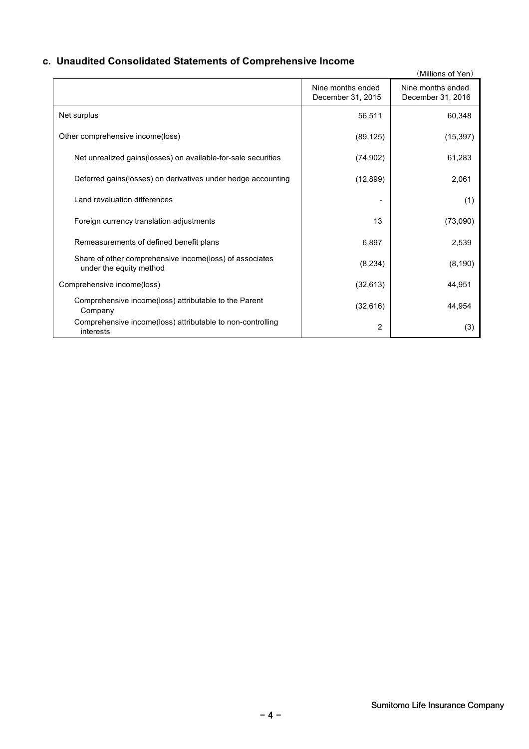# **c. Unaudited Consolidated Statements of Comprehensive Income**

|                                                                                    |                                        | (Millions of Yen)                      |
|------------------------------------------------------------------------------------|----------------------------------------|----------------------------------------|
|                                                                                    | Nine months ended<br>December 31, 2015 | Nine months ended<br>December 31, 2016 |
| Net surplus                                                                        | 56,511                                 | 60,348                                 |
| Other comprehensive income(loss)                                                   | (89, 125)                              | (15, 397)                              |
| Net unrealized gains(losses) on available-for-sale securities                      | (74, 902)                              | 61,283                                 |
| Deferred gains (losses) on derivatives under hedge accounting                      | (12, 899)                              | 2,061                                  |
| Land revaluation differences                                                       |                                        | (1)                                    |
| Foreign currency translation adjustments                                           | 13                                     | (73,090)                               |
| Remeasurements of defined benefit plans                                            | 6,897                                  | 2,539                                  |
| Share of other comprehensive income(loss) of associates<br>under the equity method | (8, 234)                               | (8, 190)                               |
| Comprehensive income(loss)                                                         | (32, 613)                              | 44,951                                 |
| Comprehensive income(loss) attributable to the Parent<br>Company                   | (32, 616)                              | 44,954                                 |
| Comprehensive income(loss) attributable to non-controlling<br>interests            | 2                                      | (3)                                    |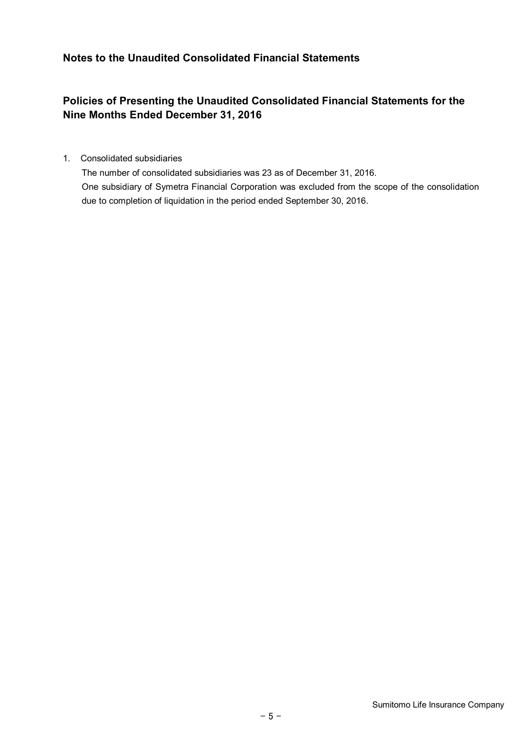## **Notes to the Unaudited Consolidated Financial Statements**

# **Policies of Presenting the Unaudited Consolidated Financial Statements for the Nine Months Ended December 31, 2016**

1. Consolidated subsidiaries

The number of consolidated subsidiaries was 23 as of December 31, 2016. One subsidiary of Symetra Financial Corporation was excluded from the scope of the consolidation due to completion of liquidation in the period ended September 30, 2016.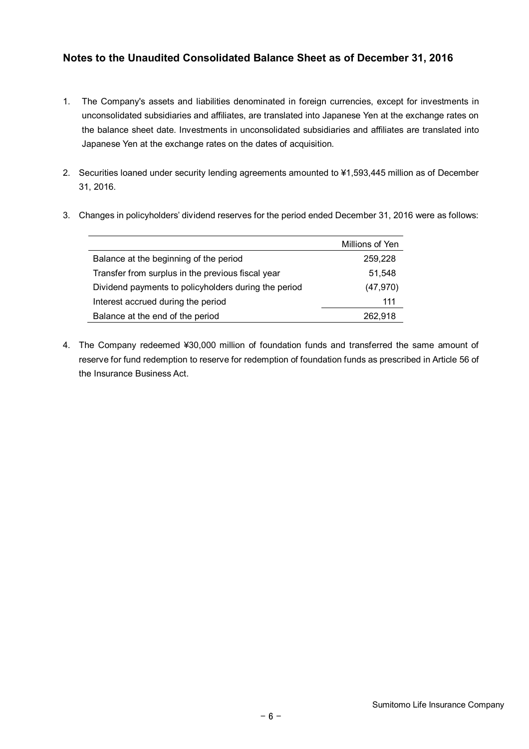## **Notes to the Unaudited Consolidated Balance Sheet as of December 31, 2016**

- 1. The Company's assets and liabilities denominated in foreign currencies, except for investments in unconsolidated subsidiaries and affiliates, are translated into Japanese Yen at the exchange rates on the balance sheet date. Investments in unconsolidated subsidiaries and affiliates are translated into Japanese Yen at the exchange rates on the dates of acquisition.
- 2. Securities loaned under security lending agreements amounted to ¥1,593,445 million as of December 31, 2016.

|                                                      | Millions of Yen |
|------------------------------------------------------|-----------------|
| Balance at the beginning of the period               | 259,228         |
| Transfer from surplus in the previous fiscal year    | 51.548          |
| Dividend payments to policyholders during the period | (47, 970)       |
| Interest accrued during the period                   | 111             |
| Balance at the end of the period                     | 262.918         |

3. Changes in policyholders' dividend reserves for the period ended December 31, 2016 were as follows:

4. The Company redeemed ¥30,000 million of foundation funds and transferred the same amount of reserve for fund redemption to reserve for redemption of foundation funds as prescribed in Article 56 of the Insurance Business Act.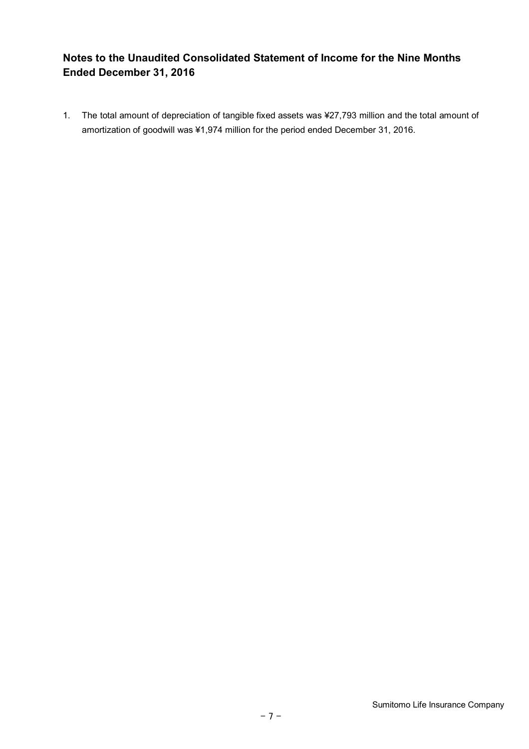# **Notes to the Unaudited Consolidated Statement of Income for the Nine Months Ended December 31, 2016**

1. The total amount of depreciation of tangible fixed assets was ¥27,793 million and the total amount of amortization of goodwill was ¥1,974 million for the period ended December 31, 2016.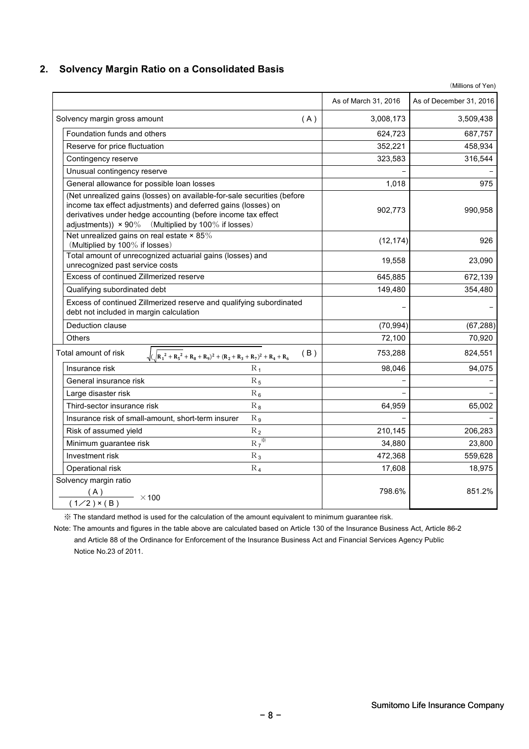## **2. Solvency Margin Ratio on a Consolidated Basis**

| (Millions of Yen)                                                                                                                                                                                                                                                     |                      |                         |  |  |  |  |
|-----------------------------------------------------------------------------------------------------------------------------------------------------------------------------------------------------------------------------------------------------------------------|----------------------|-------------------------|--|--|--|--|
|                                                                                                                                                                                                                                                                       | As of March 31, 2016 | As of December 31, 2016 |  |  |  |  |
| Solvency margin gross amount<br>(A)                                                                                                                                                                                                                                   | 3,008,173            | 3,509,438               |  |  |  |  |
| Foundation funds and others                                                                                                                                                                                                                                           | 624,723              | 687,757                 |  |  |  |  |
| Reserve for price fluctuation                                                                                                                                                                                                                                         | 352,221              | 458,934                 |  |  |  |  |
| Contingency reserve                                                                                                                                                                                                                                                   | 323,583              | 316,544                 |  |  |  |  |
| Unusual contingency reserve                                                                                                                                                                                                                                           |                      |                         |  |  |  |  |
| General allowance for possible loan losses                                                                                                                                                                                                                            | 1,018                | 975                     |  |  |  |  |
| (Net unrealized gains (losses) on available-for-sale securities (before<br>income tax effect adjustments) and deferred gains (losses) on<br>derivatives under hedge accounting (before income tax effect<br>adjustments)) $\times$ 90% (Multiplied by 100% if losses) | 902,773              | 990,958                 |  |  |  |  |
| Net unrealized gains on real estate $\times$ 85%<br>(Multiplied by 100% if losses)                                                                                                                                                                                    | (12, 174)            | 926                     |  |  |  |  |
| Total amount of unrecognized actuarial gains (losses) and<br>unrecognized past service costs                                                                                                                                                                          | 19,558               | 23,090                  |  |  |  |  |
| Excess of continued Zillmerized reserve                                                                                                                                                                                                                               | 645,885              | 672,139                 |  |  |  |  |
| Qualifying subordinated debt                                                                                                                                                                                                                                          | 149,480              | 354,480                 |  |  |  |  |
| Excess of continued Zillmerized reserve and qualifying subordinated<br>debt not included in margin calculation                                                                                                                                                        |                      |                         |  |  |  |  |
| Deduction clause                                                                                                                                                                                                                                                      | (70, 994)            | (67, 288)               |  |  |  |  |
| <b>Others</b>                                                                                                                                                                                                                                                         | 72,100               | 70,920                  |  |  |  |  |
| Total amount of risk<br>(B)<br>$\sqrt{(R_1^2 + R_5^2 + R_8 + R_9)^2 + (R_2 + R_3 + R_7)^2 + R_4 + R_6}$                                                                                                                                                               | 753,288              | 824,551                 |  |  |  |  |
| $R_1$<br>Insurance risk                                                                                                                                                                                                                                               | 98,046               | 94,075                  |  |  |  |  |
| General insurance risk<br>$R_5$                                                                                                                                                                                                                                       |                      |                         |  |  |  |  |
| $R_6$<br>Large disaster risk                                                                                                                                                                                                                                          |                      |                         |  |  |  |  |
| Third-sector insurance risk<br>$R_8$                                                                                                                                                                                                                                  | 64,959               | 65,002                  |  |  |  |  |
| Insurance risk of small-amount, short-term insurer<br>$R_{9}$                                                                                                                                                                                                         |                      |                         |  |  |  |  |
| Risk of assumed yield<br>$R_2$                                                                                                                                                                                                                                        | 210,145              | 206,283                 |  |  |  |  |
| $R_7$<br>Minimum guarantee risk                                                                                                                                                                                                                                       | 34,880               | 23,800                  |  |  |  |  |
| $R_3$<br>Investment risk                                                                                                                                                                                                                                              | 472,368              | 559,628                 |  |  |  |  |
| Operational risk<br>$R_4$                                                                                                                                                                                                                                             | 17,608               | 18,975                  |  |  |  |  |
| Solvency margin ratio<br>(A)<br>$\frac{1}{200}$ × 100<br>$(1/2)$ × (B)                                                                                                                                                                                                | 798.6%               | 851.2%                  |  |  |  |  |

※ The standard method is used for the calculation of the amount equivalent to minimum guarantee risk.

Note: The amounts and figures in the table above are calculated based on Article 130 of the Insurance Business Act, Article 86-2 and Article 88 of the Ordinance for Enforcement of the Insurance Business Act and Financial Services Agency Public Notice No.23 of 2011.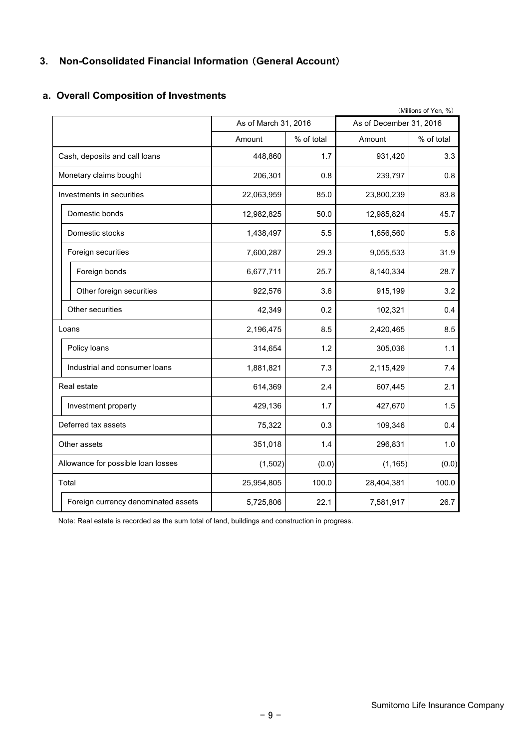# **3. Non-Consolidated Financial Information** (**General Account**)

|                                     |                      |            |                         | (Millions of Yen, %) |
|-------------------------------------|----------------------|------------|-------------------------|----------------------|
|                                     | As of March 31, 2016 |            | As of December 31, 2016 |                      |
|                                     | Amount               | % of total | Amount                  | % of total           |
| Cash, deposits and call loans       | 448,860              | 1.7        | 931,420                 | 3.3                  |
| Monetary claims bought              | 206,301              | 0.8        | 239,797                 | 0.8                  |
| Investments in securities           | 22,063,959           | 85.0       | 23,800,239              | 83.8                 |
| Domestic bonds                      | 12,982,825           | 50.0       | 12,985,824              | 45.7                 |
| Domestic stocks                     | 1,438,497            | 5.5        | 1,656,560               | 5.8                  |
| Foreign securities                  | 7,600,287            | 29.3       | 9,055,533               | 31.9                 |
| Foreign bonds                       | 6,677,711            | 25.7       | 8,140,334               | 28.7                 |
| Other foreign securities            | 922,576              | 3.6        | 915,199                 | 3.2                  |
| Other securities                    | 42,349               | 0.2        | 102,321                 | 0.4                  |
| Loans                               | 2,196,475            | 8.5        | 2,420,465               | 8.5                  |
| Policy loans                        | 314,654              | 1.2        | 305,036                 | 1.1                  |
| Industrial and consumer loans       | 1,881,821            | 7.3        | 2,115,429               | 7.4                  |
| Real estate                         | 614,369              | 2.4        | 607,445                 | 2.1                  |
| Investment property                 | 429,136              | 1.7        | 427,670                 | 1.5                  |
| Deferred tax assets                 | 75,322               | 0.3        | 109,346                 | 0.4                  |
| Other assets                        | 351,018              | 1.4        | 296,831                 | 1.0                  |
| Allowance for possible loan losses  | (1,502)              | (0.0)      | (1, 165)                | (0.0)                |
| Total                               | 25,954,805           | 100.0      | 28,404,381              | 100.0                |
| Foreign currency denominated assets | 5,725,806            | 22.1       | 7,581,917               | 26.7                 |

## **a. Overall Composition of Investments**

Note: Real estate is recorded as the sum total of land, buildings and construction in progress.